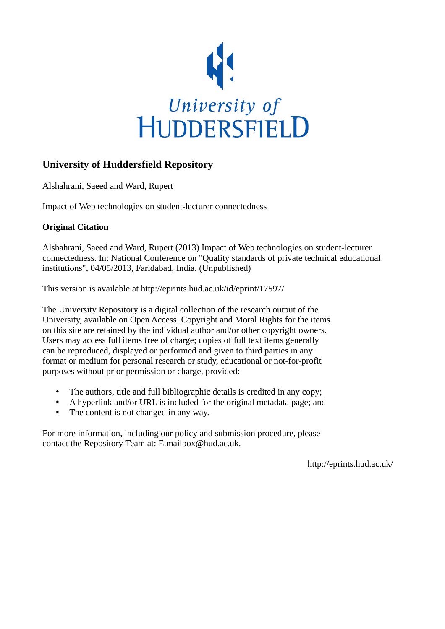

# **University of Huddersfield Repository**

Alshahrani, Saeed and Ward, Rupert

Impact of Web technologies on student-lecturer connectedness

## **Original Citation**

Alshahrani, Saeed and Ward, Rupert (2013) Impact of Web technologies on student-lecturer connectedness. In: National Conference on "Quality standards of private technical educational institutions", 04/05/2013, Faridabad, India. (Unpublished)

This version is available at http://eprints.hud.ac.uk/id/eprint/17597/

The University Repository is a digital collection of the research output of the University, available on Open Access. Copyright and Moral Rights for the items on this site are retained by the individual author and/or other copyright owners. Users may access full items free of charge; copies of full text items generally can be reproduced, displayed or performed and given to third parties in any format or medium for personal research or study, educational or not-for-profit purposes without prior permission or charge, provided:

- The authors, title and full bibliographic details is credited in any copy;
- A hyperlink and/or URL is included for the original metadata page; and
- The content is not changed in any way.

For more information, including our policy and submission procedure, please contact the Repository Team at: E.mailbox@hud.ac.uk.

http://eprints.hud.ac.uk/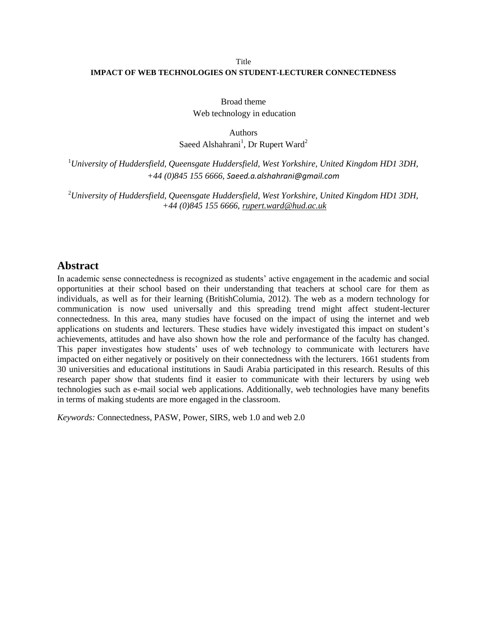#### Title **IMPACT OF WEB TECHNOLOGIES ON STUDENT-LECTURER CONNECTEDNESS**

Broad theme Web technology in education

Authors

Saeed Alshahrani<sup>1</sup>, Dr Rupert Ward<sup>2</sup>

<sup>1</sup>*University of Huddersfield, Queensgate Huddersfield, West Yorkshire, United Kingdom HD1 3DH, +44 (0)845 155 6666, [Saeed.a.alshahrani@gmail.com](mailto:Saeed.a.alshahrani@gmail.com)*

<sup>2</sup>*University of Huddersfield, Queensgate Huddersfield, West Yorkshire, United Kingdom HD1 3DH, +44 (0)845 155 6666, [rupert.ward@hud.ac.uk](mailto:rupert.ward@hud.ac.uk)*

## **Abstract**

In academic sense connectedness is recognized as students' active engagement in the academic and social opportunities at their school based on their understanding that teachers at school care for them as individuals, as well as for their learning (BritishColumia, 2012). The web as a modern technology for communication is now used universally and this spreading trend might affect student-lecturer connectedness. In this area, many studies have focused on the impact of using the internet and web applications on students and lecturers. These studies have widely investigated this impact on student's achievements, attitudes and have also shown how the role and performance of the faculty has changed. This paper investigates how students' uses of web technology to communicate with lecturers have impacted on either negatively or positively on their connectedness with the lecturers. 1661 students from 30 universities and educational institutions in Saudi Arabia participated in this research. Results of this research paper show that students find it easier to communicate with their lecturers by using web technologies such as e-mail social web applications. Additionally, web technologies have many benefits in terms of making students are more engaged in the classroom.

*Keywords:* Connectedness, PASW, Power, SIRS, web 1.0 and web 2.0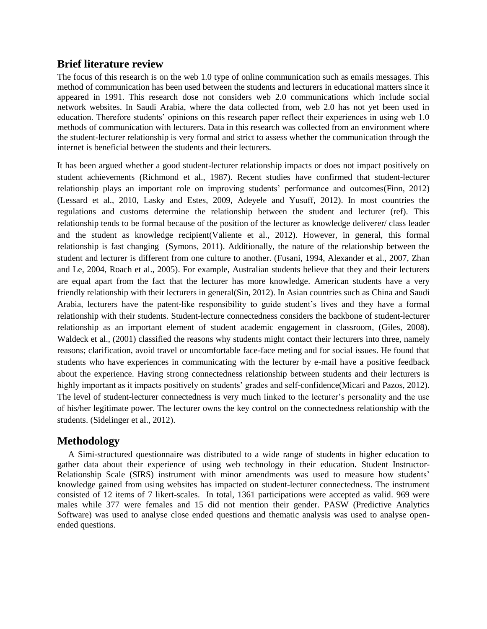### **Brief literature review**

The focus of this research is on the web 1.0 type of online communication such as emails messages. This method of communication has been used between the students and lecturers in educational matters since it appeared in 1991. This research dose not considers web 2.0 communications which include social network websites. In Saudi Arabia, where the data collected from, web 2.0 has not yet been used in education. Therefore students' opinions on this research paper reflect their experiences in using web 1.0 methods of communication with lecturers. Data in this research was collected from an environment where the student-lecturer relationship is very formal and strict to assess whether the communication through the internet is beneficial between the students and their lecturers.

It has been argued whether a good student-lecturer relationship impacts or does not impact positively on student achievements [\(Richmond et al., 1987\)](#page-4-0). Recent studies have confirmed that student-lecturer relationship plays an important role on improving students' performance and outcomes[\(Finn, 2012\)](#page-4-1) [\(Lessard et al., 2010,](#page-4-2) [Lasky and Estes, 2009,](#page-4-3) [Adeyele and Yusuff, 2012\)](#page-4-4). In most countries the regulations and customs determine the relationship between the student and lecturer (ref). This relationship tends to be formal because of the position of the lecturer as knowledge deliverer/ class leader and the student as knowledge recipient[\(Valiente et al., 2012\)](#page-4-5). However, in general, this formal relationship is fast changing [\(Symons, 2011\)](#page-4-6). Additionally, the nature of the relationship between the student and lecturer is different from one culture to another. [\(Fusani, 1994,](#page-4-7) [Alexander et al., 2007,](#page-4-8) [Zhan](#page-4-9)  [and Le, 2004,](#page-4-9) [Roach et al., 2005\)](#page-4-10). For example, Australian students believe that they and their lecturers are equal apart from the fact that the lecturer has more knowledge. American students have a very friendly relationship with their lecturers in general[\(Sin, 2012\)](#page-4-11). In Asian countries such as China and Saudi Arabia, lecturers have the patent-like responsibility to guide student's lives and they have a formal relationship with their students. Student-lecture connectedness considers the backbone of student-lecturer relationship as an important element of student academic engagement in classroom, [\(Giles, 2008\)](#page-4-12). [Waldeck et al., \(2001\)](#page-4-13) classified the reasons why students might contact their lecturers into three, namely reasons; clarification, avoid travel or uncomfortable face-face meting and for social issues. He found that students who have experiences in communicating with the lecturer by e-mail have a positive feedback about the experience. Having strong connectedness relationship between students and their lecturers is highly important as it impacts positively on students' grades and self-confidence[\(Micari and Pazos, 2012\)](#page-4-14). The level of student-lecturer connectedness is very much linked to the lecturer's personality and the use of his/her legitimate power. The lecturer owns the key control on the connectedness relationship with the students. [\(Sidelinger et al., 2012\)](#page-4-15).

## **Methodology**

 A Simi-structured questionnaire was distributed to a wide range of students in higher education to gather data about their experience of using web technology in their education. Student Instructor-Relationship Scale (SIRS) instrument with minor amendments was used to measure how students' knowledge gained from using websites has impacted on student-lecturer connectedness. The instrument consisted of 12 items of 7 likert-scales. In total, 1361 participations were accepted as valid. 969 were males while 377 were females and 15 did not mention their gender. PASW (Predictive Analytics Software) was used to analyse close ended questions and thematic analysis was used to analyse openended questions.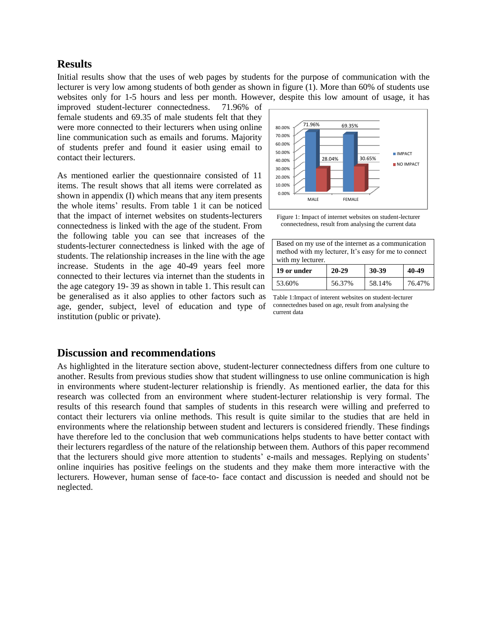#### **Results**

Initial results show that the uses of web pages by students for the purpose of communication with the lecturer is very low among students of both gender as shown in figure (1). More than 60% of students use websites only for 1-5 hours and less per month. However, despite this low amount of usage, it has

improved student-lecturer connectedness. 71.96% of female students and 69.35 of male students felt that they were more connected to their lecturers when using online line communication such as emails and forums. Majority of students prefer and found it easier using email to contact their lecturers.

As mentioned earlier the questionnaire consisted of 11 items. The result shows that all items were correlated as shown in appendix (I) which means that any item presents the whole items' results. From table 1 it can be noticed that the impact of internet websites on students-lecturers connectedness is linked with the age of the student. From the following table you can see that increases of the students-lecturer connectedness is linked with the age of students. The relationship increases in the line with the age increase. Students in the age 40-49 years feel more connected to their lectures via internet than the students in the age category 19- 39 as shown in table 1. This result can be generalised as it also applies to other factors such as age, gender, subject, level of education and type of institution (public or private).



Figure 1: Impact of internet websites on student-lecturer connectedness, result from analysing the current data

| Based on my use of the internet as a communication<br>method with my lecturer, It's easy for me to connect<br>with my lecturer. |           |        |        |  |  |  |  |  |  |
|---------------------------------------------------------------------------------------------------------------------------------|-----------|--------|--------|--|--|--|--|--|--|
| 19 or under                                                                                                                     | $20 - 29$ | 30-39  | 40-49  |  |  |  |  |  |  |
| 53.60%                                                                                                                          | 56.37%    | 58.14% | 76.47% |  |  |  |  |  |  |

Table 1:Impact of interent websites on student-lecturer connectednes based on age, result from analysing the current data

#### **Discussion and recommendations**

As highlighted in the literature section above, student-lecturer connectedness differs from one culture to another. Results from previous studies show that student willingness to use online communication is high in environments where student-lecturer relationship is friendly. As mentioned earlier, the data for this research was collected from an environment where student-lecturer relationship is very formal. The results of this research found that samples of students in this research were willing and preferred to contact their lecturers via online methods. This result is quite similar to the studies that are held in environments where the relationship between student and lecturers is considered friendly. These findings have therefore led to the conclusion that web communications helps students to have better contact with their lecturers regardless of the nature of the relationship between them. Authors of this paper recommend that the lecturers should give more attention to students' e-mails and messages. Replying on students' online inquiries has positive feelings on the students and they make them more interactive with the lecturers. However, human sense of face-to- face contact and discussion is needed and should not be neglected.